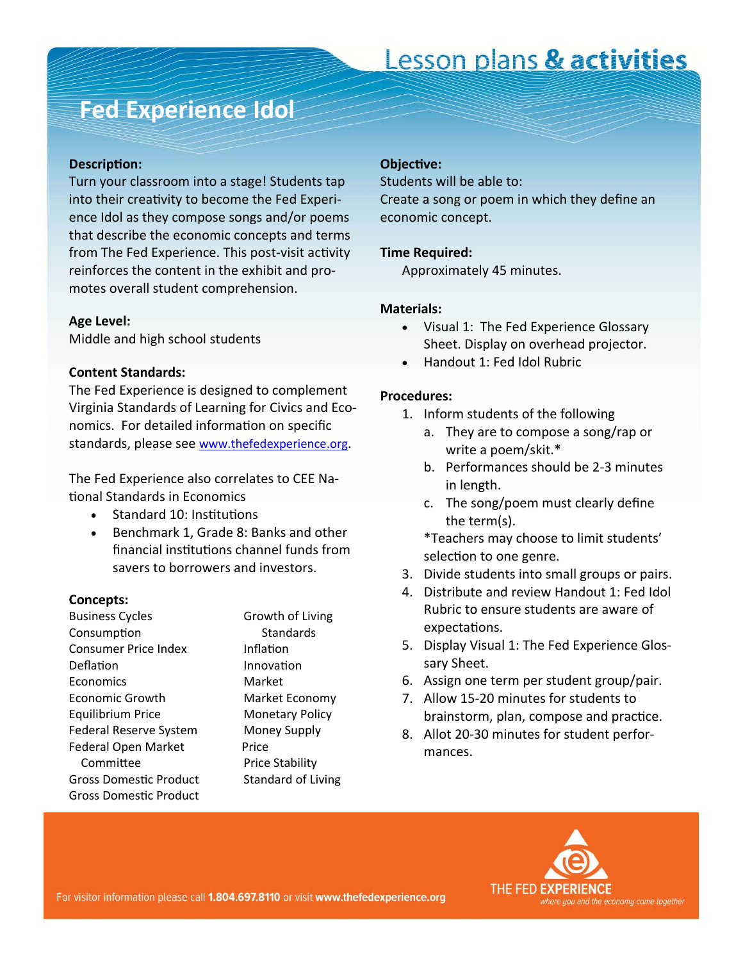# Lesson plans & activities

## **Fed Experience Idol**

#### **DescripƟon:**

Turn your classroom into a stage! Students tap into their creativity to become the Fed Experience Idol as they compose songs and/or poems that describe the economic concepts and terms from The Fed Experience. This post-visit activity reinforces the content in the exhibit and promotes overall student comprehension.

### **Age Level:**

Middle and high school students

### **Content Standards:**

The Fed Experience is designed to complement Virginia Standards of Learning for Civics and Economics. For detailed information on specific standards, please see [www.thefedexperience.org](http://thefedexperience.org/education/TFE%20SOLs.pdf).

The Fed Experience also correlates to CEE Na-Ɵonal Standards in Economics

- Standard 10: Institutions
- Benchmark 1, Grade 8: Banks and other financial institutions channel funds from savers to borrowers and investors.

### **Concepts:**

Business Cycles **Growth of Living** ConsumpƟon Standards Consumer Price Index **Inflation** Deflation Innovation Economics Market Economic Growth Market Economy Equilibrium Price Monetary Policy Federal Reserve System Money Supply Federal Open Market Price Committee Price Stability Gross Domestic Product Standard of Living Gross DomesƟc Product

#### **ObjecƟve:**

Students will be able to: Create a song or poem in which they define an economic concept.

### **Time Required:**

Approximately 45 minutes.

#### **Materials:**

- Visual 1: The Fed Experience Glossary Sheet. Display on overhead projector.
- Handout 1: Fed Idol Rubric

#### **Procedures:**

- 1. Inform students of the following
	- a. They are to compose a song/rap or write a poem/skit.\*
	- b. Performances should be 2-3 minutes in length.
	- c. The song/poem must clearly define the term(s).

\*Teachers may choose to limit students' selection to one genre.

- 3. Divide students into small groups or pairs.
- 4. Distribute and review Handout 1: Fed Idol Rubric to ensure students are aware of expectations.
- 5. Display Visual 1: The Fed Experience Glossary Sheet.
- 6. Assign one term per student group/pair.
- 7. Allow 15-20 minutes for students to brainstorm, plan, compose and practice.
- 8. Allot 20-30 minutes for student performances.

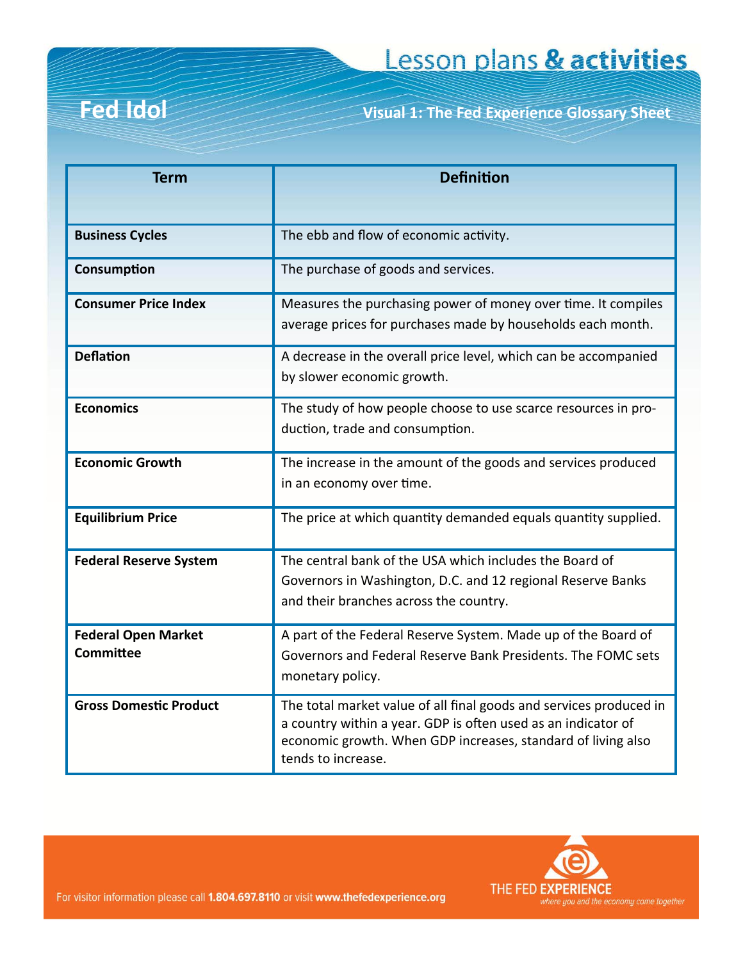# **Fed Idol**

**Fed Idol Visual 1: The Fed Experience Glossary Sheet**

| <b>Term</b>                                    | <b>Definition</b>                                                                                                                                                                                                         |  |  |
|------------------------------------------------|---------------------------------------------------------------------------------------------------------------------------------------------------------------------------------------------------------------------------|--|--|
| <b>Business Cycles</b>                         | The ebb and flow of economic activity.                                                                                                                                                                                    |  |  |
| Consumption                                    | The purchase of goods and services.                                                                                                                                                                                       |  |  |
| <b>Consumer Price Index</b>                    | Measures the purchasing power of money over time. It compiles<br>average prices for purchases made by households each month.                                                                                              |  |  |
| <b>Deflation</b>                               | A decrease in the overall price level, which can be accompanied<br>by slower economic growth.                                                                                                                             |  |  |
| <b>Economics</b>                               | The study of how people choose to use scarce resources in pro-<br>duction, trade and consumption.                                                                                                                         |  |  |
| <b>Economic Growth</b>                         | The increase in the amount of the goods and services produced<br>in an economy over time.                                                                                                                                 |  |  |
| <b>Equilibrium Price</b>                       | The price at which quantity demanded equals quantity supplied.                                                                                                                                                            |  |  |
| <b>Federal Reserve System</b>                  | The central bank of the USA which includes the Board of<br>Governors in Washington, D.C. and 12 regional Reserve Banks<br>and their branches across the country.                                                          |  |  |
| <b>Federal Open Market</b><br><b>Committee</b> | A part of the Federal Reserve System. Made up of the Board of<br>Governors and Federal Reserve Bank Presidents. The FOMC sets<br>monetary policy.                                                                         |  |  |
| <b>Gross Domestic Product</b>                  | The total market value of all final goods and services produced in<br>a country within a year. GDP is often used as an indicator of<br>economic growth. When GDP increases, standard of living also<br>tends to increase. |  |  |



For visitor information please call 1.804.697.8110 or visit www.thefedexperience.org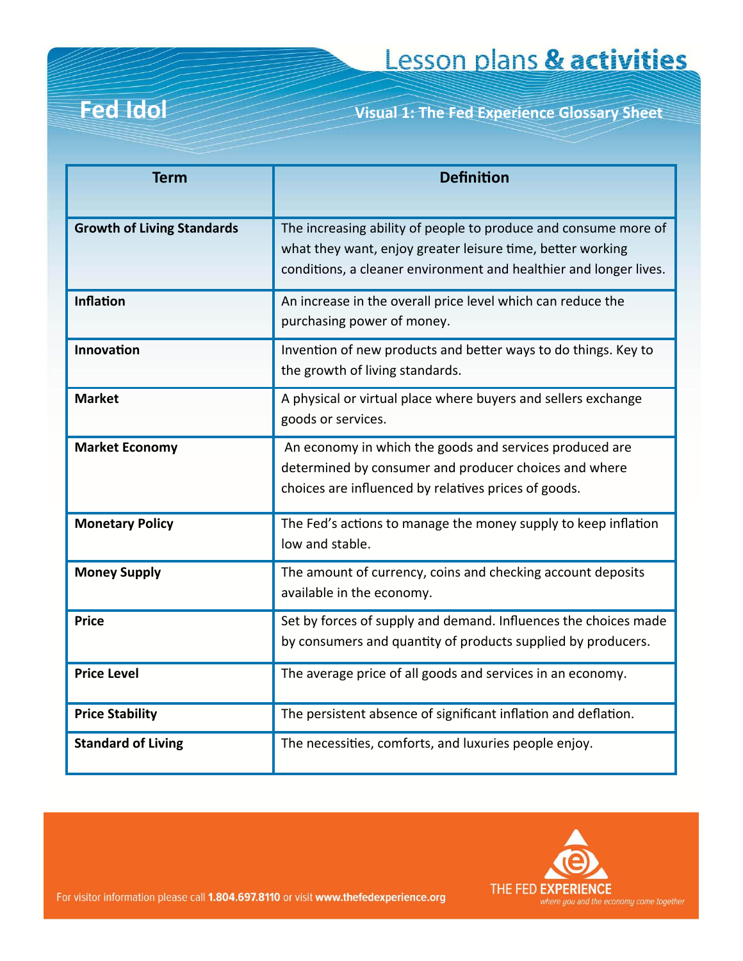**Fed Idol Visual 1: The Fed Experience Glossary Sheet**

| <b>Term</b>                       | <b>Definition</b>                                                                                                                                                                                  |  |  |
|-----------------------------------|----------------------------------------------------------------------------------------------------------------------------------------------------------------------------------------------------|--|--|
|                                   |                                                                                                                                                                                                    |  |  |
| <b>Growth of Living Standards</b> | The increasing ability of people to produce and consume more of<br>what they want, enjoy greater leisure time, better working<br>conditions, a cleaner environment and healthier and longer lives. |  |  |
| <b>Inflation</b>                  | An increase in the overall price level which can reduce the<br>purchasing power of money.                                                                                                          |  |  |
| Innovation                        | Invention of new products and better ways to do things. Key to<br>the growth of living standards.                                                                                                  |  |  |
| <b>Market</b>                     | A physical or virtual place where buyers and sellers exchange<br>goods or services.                                                                                                                |  |  |
| <b>Market Economy</b>             | An economy in which the goods and services produced are<br>determined by consumer and producer choices and where<br>choices are influenced by relatives prices of goods.                           |  |  |
| <b>Monetary Policy</b>            | The Fed's actions to manage the money supply to keep inflation<br>low and stable.                                                                                                                  |  |  |
| <b>Money Supply</b>               | The amount of currency, coins and checking account deposits<br>available in the economy.                                                                                                           |  |  |
| <b>Price</b>                      | Set by forces of supply and demand. Influences the choices made<br>by consumers and quantity of products supplied by producers.                                                                    |  |  |
| <b>Price Level</b>                | The average price of all goods and services in an economy.                                                                                                                                         |  |  |
| <b>Price Stability</b>            | The persistent absence of significant inflation and deflation.                                                                                                                                     |  |  |
| <b>Standard of Living</b>         | The necessities, comforts, and luxuries people enjoy.                                                                                                                                              |  |  |



For visitor information please call 1.804.697.8110 or visit www.thefedexperience.org